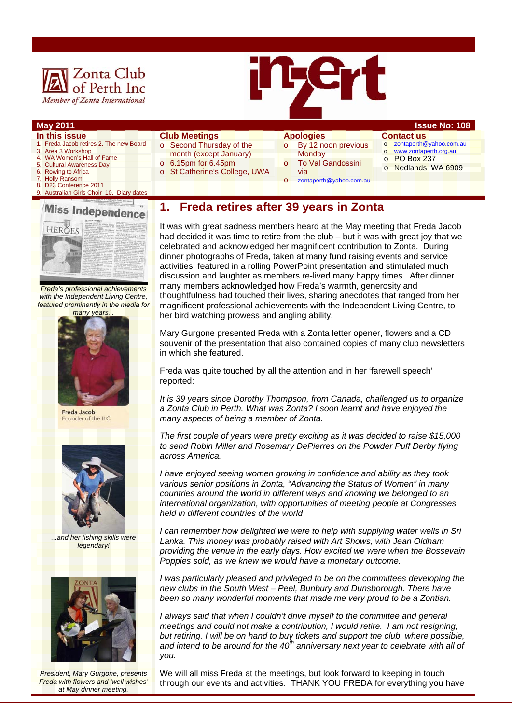



# **In this issue**

- 1. Freda Jacob retires 2. The new Board
- 3. Area 3 Workshop
- 4. WA Women's Hall of Fame
- 5. Cultural Awareness Day
- 6. Rowing to Africa<br>7. Holly Ransom 7. Holly Ransom
- 8. D23 Conference 2011
- 9. Australian Girls Choir 10. Diary dates

# **Miss Independence** HEROFS

*Freda's professional achievements with the Independent Living Centre, featured prominently in the media for many years...* 



Freda Jacob Founder of the ILC



*...and her fishing skills were legendary!* 



*President, Mary Gurgone, presents Freda with flowers and 'well wishes' at May dinner meeting.* 

#### **Club Meetings**

- o Second Thursday of the
- month (except January)
- o 6.15pm for 6.45pm
- o St Catherine's College, UWA

## **Apologies**

- $\circ$  By 12 noon previous **Monday** To Val Gandossini
- via o zontaperth@yahoo.com.au

#### **May 2011 Issue No: 108**

#### **Contact us**

- o zontaperth@yahoo.com.au
- o www.zontaperth.org.au
- o PO Box 237
- o Nedlands WA 6909
- **1. Freda retires after 39 years in Zonta**

It was with great sadness members heard at the May meeting that Freda Jacob had decided it was time to retire from the club – but it was with great joy that we celebrated and acknowledged her magnificent contribution to Zonta. During dinner photographs of Freda, taken at many fund raising events and service activities, featured in a rolling PowerPoint presentation and stimulated much discussion and laughter as members re-lived many happy times. After dinner many members acknowledged how Freda's warmth, generosity and thoughtfulness had touched their lives, sharing anecdotes that ranged from her magnificent professional achievements with the Independent Living Centre, to her bird watching prowess and angling ability.

Mary Gurgone presented Freda with a Zonta letter opener, flowers and a CD souvenir of the presentation that also contained copies of many club newsletters in which she featured.

Freda was quite touched by all the attention and in her 'farewell speech' reported:

*It is 39 years since Dorothy Thompson, from Canada, challenged us to organize a Zonta Club in Perth. What was Zonta? I soon learnt and have enjoyed the many aspects of being a member of Zonta.* 

*The first couple of years were pretty exciting as it was decided to raise \$15,000 to send Robin Miller and Rosemary DePierres on the Powder Puff Derby flying across America.* 

*I have enjoyed seeing women growing in confidence and ability as they took various senior positions in Zonta, "Advancing the Status of Women" in many countries around the world in different ways and knowing we belonged to an international organization, with opportunities of meeting people at Congresses held in different countries of the world* 

*I* can remember how delighted we were to help with supplying water wells in Sri *Lanka. This money was probably raised with Art Shows, with Jean Oldham providing the venue in the early days. How excited we were when the Bossevain Poppies sold, as we knew we would have a monetary outcome.* 

*I* was particularly pleased and privileged to be on the committees developing the *new clubs in the South West – Peel, Bunbury and Dunsborough. There have been so many wonderful moments that made me very proud to be a Zontian.* 

*I always said that when I couldn't drive myself to the committee and general meetings and could not make a contribution, I would retire. I am not resigning, but retiring. I will be on hand to buy tickets and support the club, where possible, and intend to be around for the 40th anniversary next year to celebrate with all of you.* 

We will all miss Freda at the meetings, but look forward to keeping in touch through our events and activities. THANK YOU FREDA for everything you have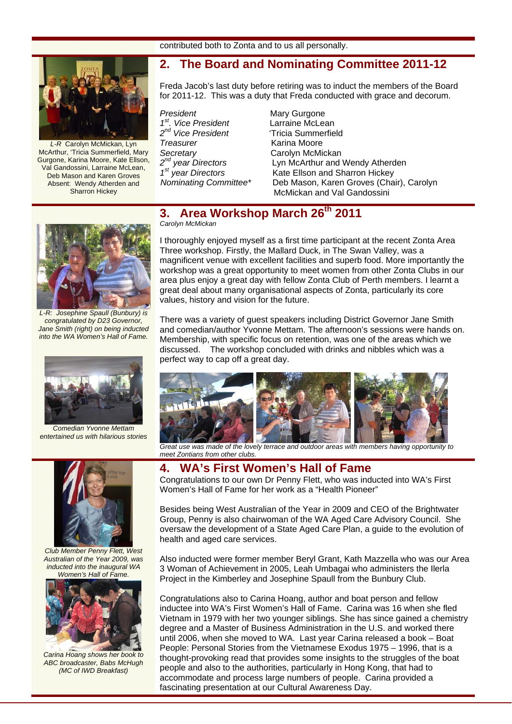contributed both to Zonta and to us all personally.

## **2. The Board and Nominating Committee 2011-12**



*L-R* Carolyn McMickan, Lyn McArthur, 'Tricia Summerfield, Mary Gurgone, Karina Moore, Kate Ellson, Val Gandossini, Larraine McLean, Deb Mason and Karen Groves Absent: Wendy Atherden and Sharron Hickey

Freda Jacob's last duty before retiring was to induct the members of the Board for 2011-12. This was a duty that Freda conducted with grace and decorum.

**President** Mary Gurgone *1st. Vice President* Larraine McLean *2nd Vice President* 'Tricia Summerfield **Treasurer Communist Communist Communist Communist Communist Communist Communist Communist Communist Communist Communist Communist Communist Communist Communist Communist Communist Communist Communist Communist Communist C** Secretary Carolyn McMickan<br>2<sup>nd</sup> year Directors Lyn McArthur and 1<br>1<sup>st</sup> year Directors Kate Ellson and Sh

Lyn McArthur and Wendy Atherden **Kate Ellson and Sharron Hickey** *Nominating Committee\** Deb Mason, Karen Groves (Chair), Carolyn McMickan and Val Gandossini

## **3. Area Workshop March 26th 2011**  *Carolyn McMickan*



*L-R: Josephine Spaull (Bunbury) is congratulated by D23 Governor, Jane Smith (right) on being inducted into the WA Women's Hall of Fame.* 



*Comedian Yvonne Mettam entertained us with hilarious stories* 



*Club Member Penny Flett, West Australian of the Year 2009, was inducted into the inaugural WA Women's Hall of Fame.* 



*Carina Hoang shows her book to ABC broadcaster, Babs McHugh (MC of IWD Breakfast)* 

I thoroughly enjoyed myself as a first time participant at the recent Zonta Area Three workshop. Firstly, the Mallard Duck, in The Swan Valley, was a magnificent venue with excellent facilities and superb food. More importantly the workshop was a great opportunity to meet women from other Zonta Clubs in our area plus enjoy a great day with fellow Zonta Club of Perth members. I learnt a great deal about many organisational aspects of Zonta, particularly its core values, history and vision for the future.

There was a variety of guest speakers including District Governor Jane Smith and comedian/author Yvonne Mettam. The afternoon's sessions were hands on. Membership, with specific focus on retention, was one of the areas which we discussed. The workshop concluded with drinks and nibbles which was a perfect way to cap off a great day.



 *Great use was made of the lovely terrace and outdoor areas with members having opportunity to meet Zontians from other clubs.*

## **4. WA's First Women's Hall of Fame**

Congratulations to our own Dr Penny Flett, who was inducted into WA's First Women's Hall of Fame for her work as a "Health Pioneer"

Besides being West Australian of the Year in 2009 and CEO of the Brightwater Group, Penny is also chairwoman of the WA Aged Care Advisory Council. She oversaw the development of a State Aged Care Plan, a guide to the evolution of health and aged care services.

Also inducted were former member Beryl Grant, Kath Mazzella who was our Area 3 Woman of Achievement in 2005, Leah Umbagai who administers the Ilerla Project in the Kimberley and Josephine Spaull from the Bunbury Club.

Congratulations also to Carina Hoang, author and boat person and fellow inductee into WA's First Women's Hall of Fame. Carina was 16 when she fled Vietnam in 1979 with her two younger siblings. She has since gained a chemistry degree and a Master of Business Administration in the U.S. and worked there until 2006, when she moved to WA. Last year Carina released a book – Boat People: Personal Stories from the Vietnamese Exodus 1975 – 1996, that is a thought-provoking read that provides some insights to the struggles of the boat people and also to the authorities, particularly in Hong Kong, that had to accommodate and process large numbers of people. Carina provided a fascinating presentation at our Cultural Awareness Day.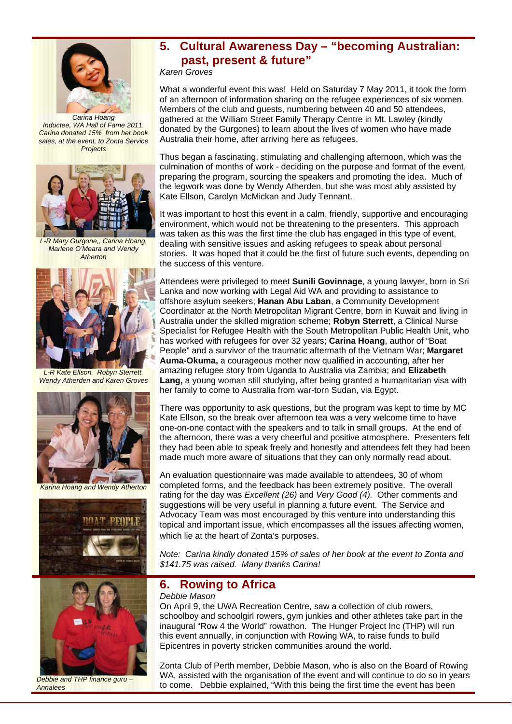

*Carina Hoang Inductee, WA Hall of Fame 2011. Carina donated 15% from her book sales, at the event, to Zonta Service Projects* 



*L-R Mary Gurgone,, Carina Hoang, Marlene O'Meara and Wendy Atherton* 



*L-R Kate Ellson, Robyn Sterrett, Wendy Atherden and Karen Groves* 



*Karina Hoang and Wendy Atherton* 





*Debbie and THP finance guru – Annalees* 

# **5. Cultural Awareness Day – "becoming Australian: past, present & future"**

*Karen Groves* 

What a wonderful event this was! Held on Saturday 7 May 2011, it took the form of an afternoon of information sharing on the refugee experiences of six women. Members of the club and guests, numbering between 40 and 50 attendees, gathered at the William Street Family Therapy Centre in Mt. Lawley (kindly donated by the Gurgones) to learn about the lives of women who have made Australia their home, after arriving here as refugees.

Thus began a fascinating, stimulating and challenging afternoon, which was the culmination of months of work - deciding on the purpose and format of the event, preparing the program, sourcing the speakers and promoting the idea. Much of the legwork was done by Wendy Atherden, but she was most ably assisted by Kate Ellson, Carolyn McMickan and Judy Tennant.

It was important to host this event in a calm, friendly, supportive and encouraging environment, which would not be threatening to the presenters. This approach was taken as this was the first time the club has engaged in this type of event, dealing with sensitive issues and asking refugees to speak about personal stories. It was hoped that it could be the first of future such events, depending on the success of this venture.

Attendees were privileged to meet **Sunili Govinnage**, a young lawyer, born in Sri Lanka and now working with Legal Aid WA and providing to assistance to offshore asylum seekers; **Hanan Abu Laban**, a Community Development Coordinator at the North Metropolitan Migrant Centre, born in Kuwait and living in Australia under the skilled migration scheme; **Robyn Sterrett**, a Clinical Nurse Specialist for Refugee Health with the South Metropolitan Public Health Unit, who has worked with refugees for over 32 years; **Carina Hoang**, author of "Boat People" and a survivor of the traumatic aftermath of the Vietnam War; **Margaret Auma-Okuma,** a courageous mother now qualified in accounting, after her amazing refugee story from Uganda to Australia via Zambia; and **Elizabeth Lang,** a young woman still studying, after being granted a humanitarian visa with her family to come to Australia from war-torn Sudan, via Egypt.

There was opportunity to ask questions, but the program was kept to time by MC Kate Ellson, so the break over afternoon tea was a very welcome time to have one-on-one contact with the speakers and to talk in small groups. At the end of the afternoon, there was a very cheerful and positive atmosphere. Presenters felt they had been able to speak freely and honestly and attendees felt they had been made much more aware of situations that they can only normally read about.

An evaluation questionnaire was made available to attendees, 30 of whom completed forms, and the feedback has been extremely positive. The overall rating for the day was *Excellent (26)* and *Very Good (4).* Other comments and suggestions will be very useful in planning a future event. The Service and Advocacy Team was most encouraged by this venture into understanding this topical and important issue, which encompasses all the issues affecting women, which lie at the heart of Zonta's purposes.

*Note: Carina kindly donated 15% of sales of her book at the event to Zonta and \$141.75 was raised. Many thanks Carina!*

# **6. Rowing to Africa**

*Debbie Mason* 

On April 9, the UWA Recreation Centre, saw a collection of club rowers, schoolboy and schoolgirl rowers, gym junkies and other athletes take part in the inaugural "Row 4 the World" rowathon. The Hunger Project Inc (THP) will run this event annually, in conjunction with Rowing WA, to raise funds to build Epicentres in poverty stricken communities around the world.

Zonta Club of Perth member, Debbie Mason, who is also on the Board of Rowing WA, assisted with the organisation of the event and will continue to do so in years to come. Debbie explained, "With this being the first time the event has been